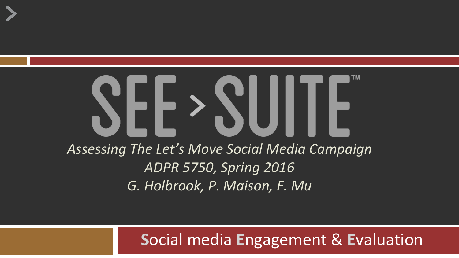# SEE > SUITE *Assessing The Let's Move Social Media Campaign ADPR 5750, Spring 2016 G. Holbrook, P. Maison, F. Mu*

#### **S**ocial media **E**ngagement & **E**valuation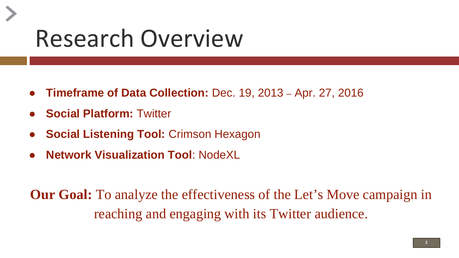### Research Overview

- **Timeframe of Data Collection:** Dec. 19, 2013 Apr. 27, 2016
- **Social Platform: Twitter**
- **Social Listening Tool: Crimson Hexagon**
- **Network Visualization Tool: NodeXL**

**Our Goal:** To analyze the effectiveness of the Let's Move campaign in reaching and engaging with its Twitter audience.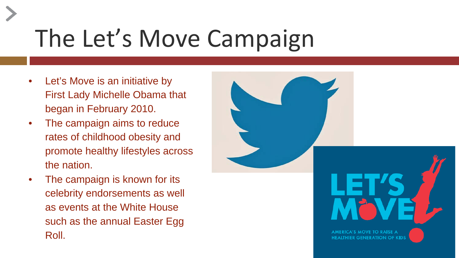# The Let's Move Campaign

- Let's Move is an initiative by First Lady Michelle Obama that began in February 2010.
- The campaign aims to reduce rates of childhood obesity and promote healthy lifestyles across the nation.
- The campaign is known for its celebrity endorsements as well as events at the White House such as the annual Easter Egg Roll.

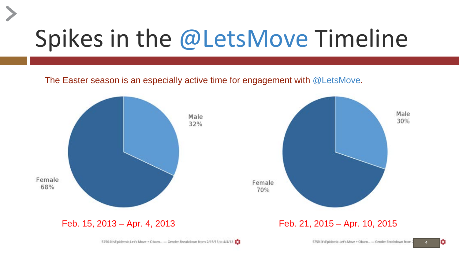### Spikes in the @LetsMove Timeline

The Easter season is an especially active time for engagement with @LetsMove.



**4**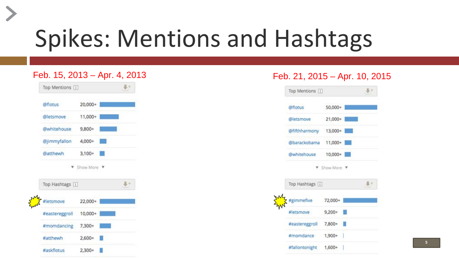#### Spikes: Mentions and Hashtags



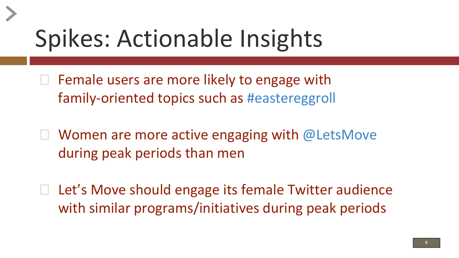#### Spikes: Actionable Insights

- $\Box$  Female users are more likely to engage with family-oriented topics such as #eastereggroll
- Women are more active engaging with  $@$  LetsMove during peak periods than men
- Let's Move should engage its female Twitter audience with similar programs/initiatives during peak periods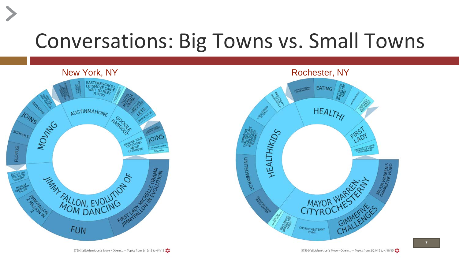#### Conversations: Big Towns vs. Small Towns



5750-It'sEpidemic-Let's Move + Obam... - Topics from 2/15/13 to 4/4/13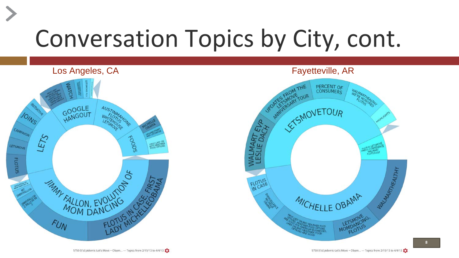# Conversation Topics by City, cont.



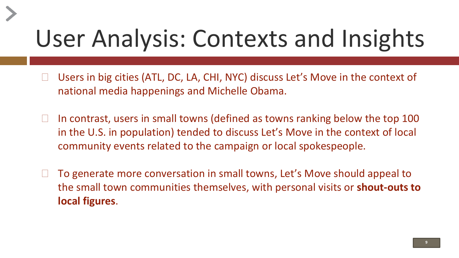### User Analysis: Contexts and Insights

- Users in big cities (ATL, DC, LA, CHI, NYC) discuss Let's Move in the context of national media happenings and Michelle Obama.
- $\Box$  In contrast, users in small towns (defined as towns ranking below the top 100 in the U.S. in population) tended to discuss Let's Move in the context of local community events related to the campaign or local spokespeople.
- ◻ To generate more conversation in small towns, Let's Move should appeal to the small town communities themselves, with personal visits or **shout-outs to local figures**.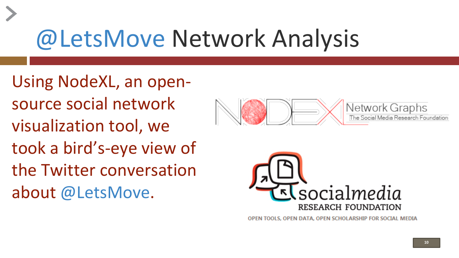### @LetsMove Network Analysis

Using NodeXL, an opensource social network visualization tool, we took a bird's-eye view of the Twitter conversation about @LetsMove.





OPEN TOOLS, OPEN DATA, OPEN SCHOLARSHIP FOR SOCIAL MEDIA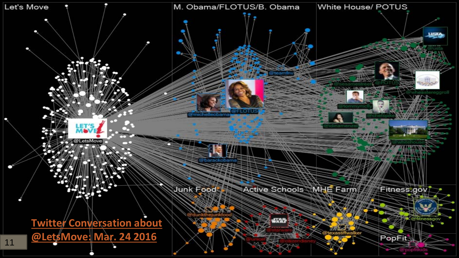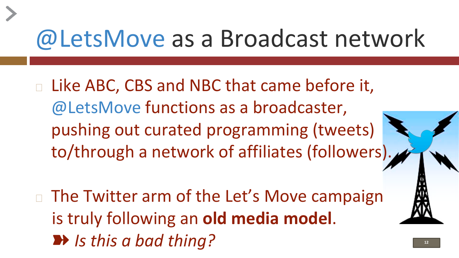#### @LetsMove as a Broadcast network

- <sup>◻</sup> Like ABC, CBS and NBC that came before it, @LetsMove functions as a broadcaster, pushing out curated programming (tweets) to/through a network of affiliates (followers).
- □ The Twitter arm of the Let's Move campaign is truly following an **old media model**. ■ *Is this a bad thing?* ■ 122 **122**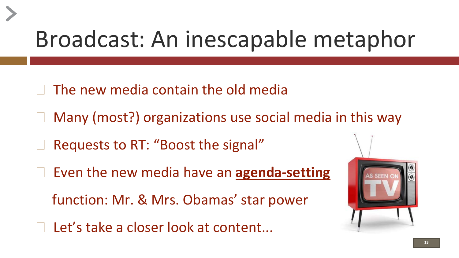#### Broadcast: An inescapable metaphor

- The new media contain the old media
- □ Many (most?) organizations use social media in this way
- □ Requests to RT: "Boost the signal"
- ◻ Even the new media have an **agenda-setting**

function: Mr. & Mrs. Obamas' star power

 $\Box$  Let's take a closer look at content...

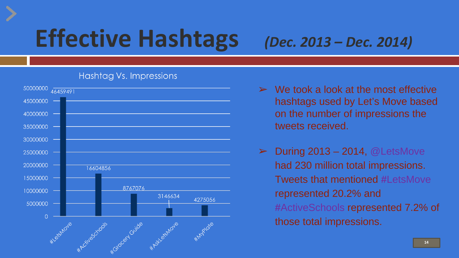### **Effective Hashtags** *(Dec. 2013 – Dec. 2014)*

#### Hashtag Vs. Impressions



- We took a look at the most effective hashtags used by Let's Move based on the number of impressions the tweets received.
- **During 2013 2014, @LetsMove** had 230 million total impressions. Tweets that mentioned **#**LetsMove represented 20.2% and **#**ActiveSchools represented 7.2% of those total impressions.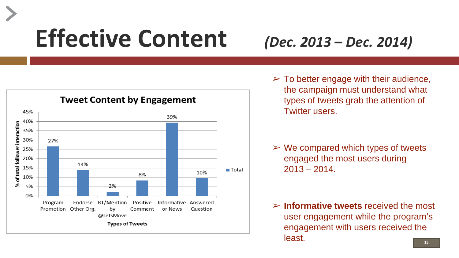### **Effective Content** *(Dec. 2013 – Dec. 2014)*



 $\triangleright$  To better engage with their audience, the campaign must understand what types of tweets grab the attention of Twitter users.

- $\triangleright$  We compared which types of tweets engaged the most users during  $2013 - 2014$ .
- ➢ **Informative tweets** received the most user engagement while the program's engagement with users received the least.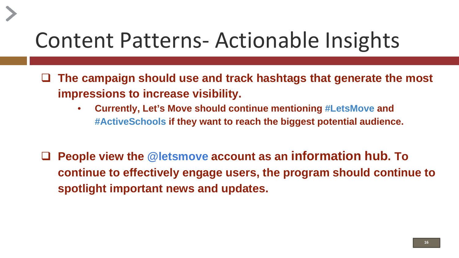#### Content Patterns- Actionable Insights

- **The campaign should use and track hashtags that generate the most impressions to increase visibility.**
	- **Currently, Let's Move should continue mentioning #LetsMove and #ActiveSchools if they want to reach the biggest potential audience.**
- **People view the @letsmove account as an information hub. To continue to effectively engage users, the program should continue to spotlight important news and updates.**